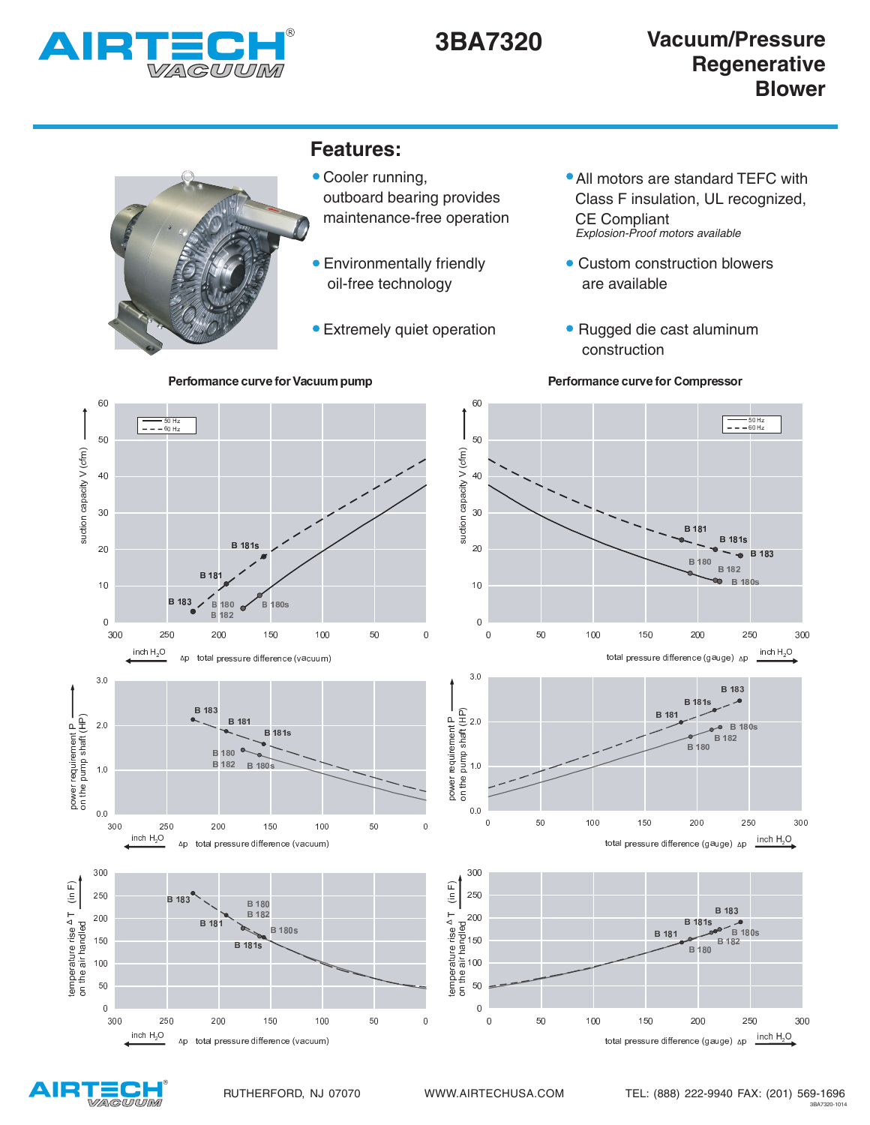



<sup>Ê</sup> <sup>Ä</sup> 50 H.<br>00 H  $\overline{\phantom{a}}$ <sup>Ú</sup> <sup>Û</sup> <sup>Ò</sup> Ü Ý <sup>Þ</sup>  $40$ <sup>Ð</sup> <sup>Ñ</sup> <sup>Ò</sup> <sup>Ó</sup> Ô Õ <sup>Ö</sup> <sup>Ò</sup> <sup>×</sup> <sup>Ø</sup> <sup>×</sup> <sup>Ò</sup> <sup>Ô</sup> Ó Ù  $30$  $B^{\prime}$ **B** 181s  $R$  181  $\overline{20}$ **B** 183  $180$ **B** 182  $B$  18 **B** 180  $10$ **B** 180s **B** 180  $\overline{B}$  $\overline{0}$ 250 200  $150$   $100$   $50$  $\mathbf 0$  $\overline{0}$ 50 100 150 200 250 300 inch  $H_2O$   $3.0$ B 183  $R<sub>1</sub>$ }  $B$  18<sup> $\cdot$ </sup> B 181 www.community.com  $B$  180s الكسيماء المست **B** 181s **B** 182 B 180 B 180 <sup>0</sup>  $\bullet$ **B** 182 B 180 <sup>s</sup> { <sup>|</sup> <sup>~</sup> <sup>u</sup>  $0.0$ <sup>l</sup> <sup>q</sup> <sup>l</sup> <sup>n</sup> <sup>l</sup> <sup>l</sup> <sup>n</sup> <sup>q</sup> <sup>l</sup> <sup>o</sup> <sup>l</sup> <sup>l</sup> <sup>o</sup> <sup>q</sup> <sup>l</sup> <sup>p</sup> <sup>l</sup> <sup>l</sup> inch  $H_2O$ and the company of the company of the company of the company of the company of the company of the company of the 300













<sup>Ð</sup> <sup>Ñ</sup> <sup>Ò</sup> <sup>Ó</sup> Ô Õ <sup>Ö</sup> <sup>Ò</sup> <sup>×</sup> <sup>Ø</sup> <sup>×</sup> <sup>Ò</sup> <sup>Ô</sup> Ó Ù

 $inch H<sub>2</sub>O$ 

 $\Delta n$ 

 $\Delta p$ 

<sup>Ú</sup> <sup>Û</sup> <sup>Ò</sup> Ü Ý <sup>Þ</sup>